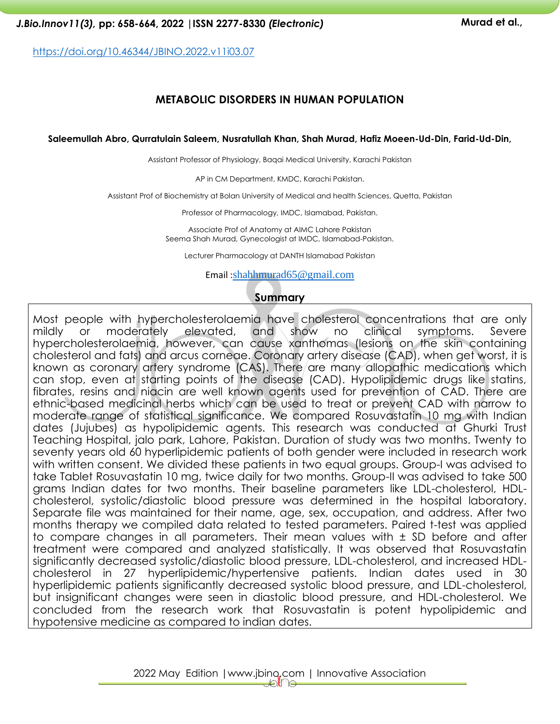<https://doi.org/10.46344/JBINO.2022.v11i03.07>

## **METABOLIC DISORDERS IN HUMAN POPULATION**

#### **Saleemullah Abro, Qurratulain Saleem, Nusratullah Khan, Shah Murad, Hafiz Moeen-Ud-Din, Farid-Ud-Din,**

Assistant Professor of Physiology, Baqai Medical University, Karachi Pakistan

AP in CM Department, KMDC, Karachi Pakistan.

Assistant Prof of Biochemistry at Bolan University of Medical and health Sciences, Quetta, Pakistan

Professor of Pharmacology, IMDC, Islamabad, Pakistan.

Associate Prof of Anatomy at AIMC Lahore Pakistan Seema Shah Murad, Gynecologist at IMDC, Islamabad-Pakistan.

Lecturer Pharmacology at DANTH Islamabad Pakistan

Email :[shahhmurad65@gmail.com](mailto:shahhmurad65@gmail.com)

#### **Summary**

Most people with hypercholesterolaemia have cholesterol concentrations that are only mildly or moderately elevated, and show no clinical symptoms. Severe hypercholesterolaemia, however, can cause xanthomas (lesions on the skin containing cholesterol and fats) and arcus corneae. Coronary artery disease (CAD), when get worst, it is known as coronary artery syndrome (CAS). There are many allopathic medications which can stop, even at starting points of the disease (CAD). Hypolipidemic drugs like statins, fibrates, resins and niacin are well known agents used for prevention of CAD. There are ethnic-based medicinal herbs which can be used to treat or prevent CAD with narrow to moderate range of statistical significance. We compared Rosuvastatin 10 mg with Indian dates (Jujubes) as hypolipidemic agents. This research was conducted at Ghurki Trust Teaching Hospital, jalo park, Lahore, Pakistan. Duration of study was two months. Twenty to seventy years old 60 hyperlipidemic patients of both gender were included in research work with written consent. We divided these patients in two equal groups. Group-I was advised to take Tablet Rosuvastatin 10 mg, twice daily for two months. Group-II was advised to take 500 grams Indian dates for two months. Their baseline parameters like LDL-cholesterol, HDLcholesterol, systolic/diastolic blood pressure was determined in the hospital laboratory. Separate file was maintained for their name, age, sex, occupation, and address. After two months therapy we compiled data related to tested parameters. Paired t-test was applied to compare changes in all parameters. Their mean values with ± SD before and after treatment were compared and analyzed statistically. It was observed that Rosuvastatin significantly decreased systolic/diastolic blood pressure, LDL-cholesterol, and increased HDLcholesterol in 27 hyperlipidemic/hypertensive patients. Indian dates used in 30 hyperlipidemic patients significantly decreased systolic blood pressure, and LDL-cholesterol, but insignificant changes were seen in diastolic blood pressure, and HDL-cholesterol. We concluded from the research work that Rosuvastatin is potent hypolipidemic and hypotensive medicine as compared to indian dates.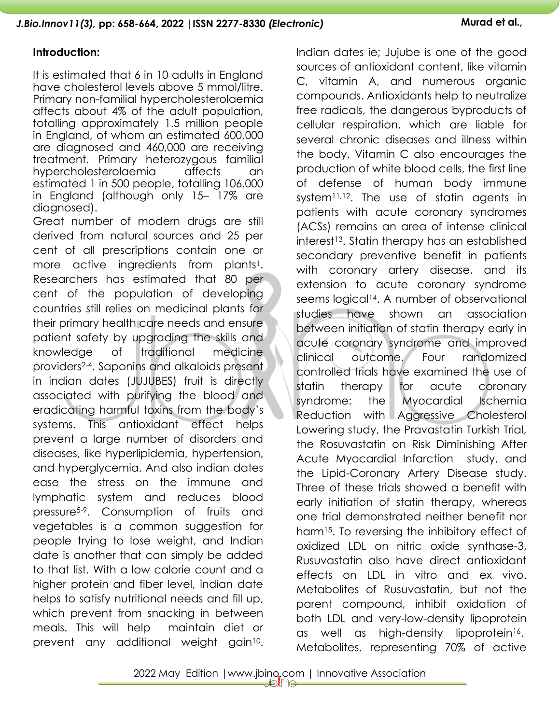### **Introduction:**

It is estimated that 6 in 10 adults in England have cholesterol levels above 5 mmol/litre. Primary non-familial hypercholesterolaemia affects about 4% of the adult population, totalling approximately 1.5 million people in England, of whom an estimated 600,000 are diagnosed and 460,000 are receiving treatment. Primary heterozygous familial hypercholesterolaemia affects an estimated 1 in 500 people, totalling 106,000 in England (although only 15– 17% are diagnosed).

Great number of modern drugs are still derived from natural sources and 25 per cent of all prescriptions contain one or more active ingredients from plants<sup>1</sup>. Researchers has estimated that 80 per cent of the population of developing countries still relies on medicinal plants for their primary health care needs and ensure patient safety by upgrading the skills and knowledge of traditional medicine providers2-4. Saponins and alkaloids present in indian dates (JUJUBES) fruit is directly associated with purifying the blood and eradicating harmful toxins from the body's systems. This antioxidant effect helps prevent a large number of disorders and diseases, like hyperlipidemia, hypertension, and hyperglycemia. And also indian dates ease the stress on the immune and lymphatic system and reduces blood pressure5-9. Consumption of fruits and vegetables is a common suggestion for people trying to lose weight, and Indian date is another that can simply be added to that list. With a low calorie count and a higher protein and fiber level, indian date helps to satisfy nutritional needs and fill up, which prevent from snacking in between meals. This will help maintain diet or prevent any additional weight gain<sup>10</sup>.

Indian dates ie; Jujube is one of the good sources of antioxidant content, like vitamin C, vitamin A, and numerous organic compounds. Antioxidants help to neutralize free radicals, the dangerous byproducts of cellular respiration, which are liable for several chronic diseases and illness within the body. Vitamin C also encourages the production of white blood cells, the first line of defense of human body immune system<sup>11,12</sup>. The use of statin agents in patients with acute coronary syndromes (ACSs) remains an area of intense clinical interest13. Statin therapy has an established secondary preventive benefit in patients with coronary artery disease, and its extension to acute coronary syndrome seems logical<sup>14</sup>. A number of observational studies have shown an association between initiation of statin therapy early in acute coronary syndrome and improved clinical outcome. Four randomized controlled trials have examined the use of statin therapy for acute coronary syndrome: the Myocardial Ischemia Reduction with Aggressive Cholesterol Lowering study, the Pravastatin Turkish Trial, the Rosuvastatin on Risk Diminishing After Acute Myocardial Infarction study, and the Lipid-Coronary Artery Disease study. Three of these trials showed a benefit with early initiation of statin therapy, whereas one trial demonstrated neither benefit nor harm15. To reversing the inhibitory effect of oxidized LDL on nitric oxide synthase-3, Rusuvastatin also have direct antioxidant effects on LDL in vitro and ex vivo. Metabolites of Rusuvastatin, but not the parent compound, inhibit oxidation of both LDL and very-low-density lipoprotein as well as high-density lipoprotein<sup>16</sup>. Metabolites, representing 70% of active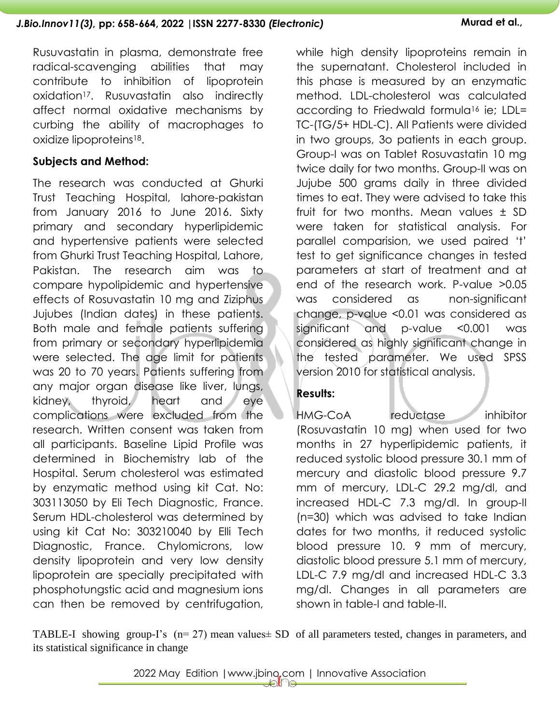Rusuvastatin in plasma, demonstrate free radical-scavenging abilities that may contribute to inhibition of lipoprotein oxidation17. Rusuvastatin also indirectly affect normal oxidative mechanisms by curbing the ability of macrophages to oxidize lipoproteins18.

## **Subjects and Method:**

The research was conducted at Ghurki Trust Teaching Hospital, lahore-pakistan from January 2016 to June 2016. Sixty primary and secondary hyperlipidemic and hypertensive patients were selected from Ghurki Trust Teaching Hospital, Lahore, Pakistan. The research aim was to compare hypolipidemic and hypertensive effects of Rosuvastatin 10 mg and Ziziphus Jujubes (Indian dates) in these patients. Both male and female patients suffering from primary or secondary hyperlipidemia were selected. The age limit for patients was 20 to 70 years. Patients suffering from any major organ disease like liver, lungs, kidney, thyroid, heart and eye complications were excluded from the research. Written consent was taken from all participants. Baseline Lipid Profile was determined in Biochemistry lab of the Hospital. Serum cholesterol was estimated by enzymatic method using kit Cat. No: 303113050 by Eli Tech Diagnostic, France. Serum HDL-cholesterol was determined by using kit Cat No: 303210040 by Elli Tech Diagnostic, France. Chylomicrons, low density lipoprotein and very low density lipoprotein are specially precipitated with phosphotungstic acid and magnesium ions can then be removed by centrifugation,

while high density lipoproteins remain in the supernatant. Cholesterol included in this phase is measured by an enzymatic method. LDL-cholesterol was calculated according to Friedwald formula<sup>16</sup> ie; LDL= TC-(TG/5+ HDL-C). All Patients were divided in two groups, 3o patients in each group. Group-I was on Tablet Rosuvastatin 10 mg twice daily for two months. Group-II was on Jujube 500 grams daily in three divided times to eat. They were advised to take this fruit for two months. Mean values ± SD were taken for statistical analysis. For parallel comparision, we used paired 't' test to get significance changes in tested parameters at start of treatment and at end of the research work. P-value >0.05 was considered as non-significant change, p-value <0.01 was considered as significant and p-value <0.001 was considered as highly significant change in the tested parameter. We used SPSS version 2010 for statistical analysis.

# **Results:**

HMG-CoA reductase inhibitor (Rosuvastatin 10 mg) when used for two months in 27 hyperlipidemic patients, it reduced systolic blood pressure 30.1 mm of mercury and diastolic blood pressure 9.7 mm of mercury, LDL-C 29.2 mg/dl, and increased HDL-C 7.3 mg/dl. In group-II (n=30) which was advised to take Indian dates for two months, it reduced systolic blood pressure 10. 9 mm of mercury, diastolic blood pressure 5.1 mm of mercury, LDL-C 7.9 mg/dl and increased HDL-C 3.3 mg/dl. Changes in all parameters are shown in table-I and table-II.

TABLE-I showing group-I's ( $n= 27$ ) mean values  $\pm$  SD of all parameters tested, changes in parameters, and its statistical significance in change

2022 May Edition |www.jbino.com | Innovative Association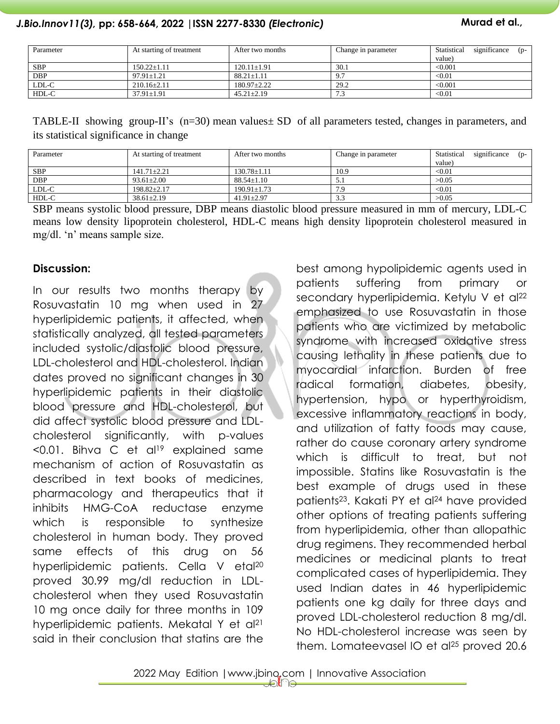### *J.Bio.Innov11(3),* **pp: 658-664, 2022 |ISSN 2277-8330** *(Electronic)* **Murad et al.,**

| Parameter  | At starting of treatment | After two months  | Change in parameter   | significance<br>Statistical<br>$(n-$<br>value) |
|------------|--------------------------|-------------------|-----------------------|------------------------------------------------|
| <b>SBP</b> | $150.22 \pm 1.11$        | $120.11 \pm 1.91$ | 30.1                  | < 0.001                                        |
| <b>DBP</b> | $97.91 \pm 1.21$         | $88.21 \pm 1.11$  | 9.7                   | < 0.01                                         |
| LDL-C      | $210.16 \pm 2.11$        | $180.97 \pm 2.22$ | 29.2                  | < 0.001                                        |
| HDL-C      | $37.91 \pm 1.91$         | $45.21 \pm 2.19$  | $\sim$ $\sim$<br>نہ ہ | < 0.01                                         |

TABLE-II showing group-II's (n=30) mean values± SD of all parameters tested, changes in parameters, and its statistical significance in change

| Parameter  | At starting of treatment | After two months  | Change in parameter | significance<br>Statistical<br>$(p-$<br>value) |
|------------|--------------------------|-------------------|---------------------|------------------------------------------------|
| SBP        | $141.71 \pm 2.21$        | $130.78 \pm 1.11$ | 10.9                | $< \hspace{-0.2em}0.01$                        |
| <b>DBP</b> | $93.61 \pm 2.00$         | $88.54 \pm 1.10$  | ا د ب               | >0.05                                          |
| LDL-C      | $198.82 \pm 2.17$        | $190.91 \pm 1.73$ | 7.9                 | $< \hspace{-0.2em}0.01$                        |
| HDL-C      | $38.61 + 2.19$           | $41.91 \pm 2.97$  | 3.3                 | >0.05                                          |

SBP means systolic blood pressure, DBP means diastolic blood pressure measured in mm of mercury, LDL-C means low density lipoprotein cholesterol, HDL-C means high density lipoprotein cholesterol measured in mg/dl. 'n' means sample size.

#### **Discussion:**

In our results two months therapy by Rosuvastatin 10 mg when used in 27 hyperlipidemic patients, it affected, when statistically analyzed, all tested parameters included systolic/diastolic blood pressure, LDL-cholesterol and HDL-cholesterol. Indian dates proved no significant changes in 30 hyperlipidemic patients in their diastolic blood pressure and HDL-cholesterol, but did affect systolic blood pressure and LDLcholesterol significantly, with p-values  $\leq$ 0.01. Bihva C et al<sup>19</sup> explained same mechanism of action of Rosuvastatin as described in text books of medicines, pharmacology and therapeutics that it inhibits HMG-CoA reductase enzyme which is responsible to synthesize cholesterol in human body. They proved same effects of this drug on 56 hyperlipidemic patients. Cella V etal 20 proved 30.99 mg/dl reduction in LDLcholesterol when they used Rosuvastatin 10 mg once daily for three months in 109 hyperlipidemic patients. Mekatal Y et al<sup>21</sup> said in their conclusion that statins are the

best among hypolipidemic agents used in patients suffering from primary or secondary hyperlipidemia. Ketylu V et al<sup>22</sup> emphasized to use Rosuvastatin in those patients who are victimized by metabolic syndrome with increased oxidative stress causing lethality in these patients due to myocardial infarction. Burden of free radical formation, diabetes, obesity, hypertension, hypo or hyperthyroidism, excessive inflammatory reactions in body, and utilization of fatty foods may cause, rather do cause coronary artery syndrome which is difficult to treat, but not impossible. Statins like Rosuvastatin is the best example of drugs used in these patients23. Kakati PY et al<sup>24</sup> have provided other options of treating patients suffering from hyperlipidemia, other than allopathic drug regimens. They recommended herbal medicines or medicinal plants to treat complicated cases of hyperlipidemia. They used Indian dates in 46 hyperlipidemic patients one kg daily for three days and proved LDL-cholesterol reduction 8 mg/dl. No HDL-cholesterol increase was seen by them. Lomateevasel IO et al<sup>25</sup> proved 20.6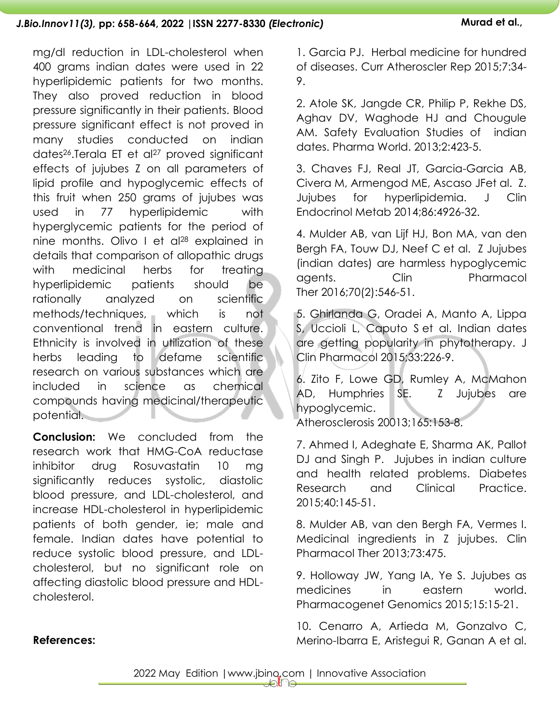mg/dl reduction in LDL-cholesterol when 400 grams indian dates were used in 22 hyperlipidemic patients for two months. They also proved reduction in blood pressure significantly in their patients. Blood pressure significant effect is not proved in many studies conducted on indian dates<sup>26</sup>.Terala ET et al<sup>27</sup> proved significant effects of jujubes Z on all parameters of lipid profile and hypoglycemic effects of this fruit when 250 grams of jujubes was used in 77 hyperlipidemic with hyperglycemic patients for the period of nine months. Olivo I et al <sup>28</sup> explained in details that comparison of allopathic drugs with medicinal herbs for treating hyperlipidemic patients should be rationally analyzed on scientific methods/techniques, which is not conventional trend in eastern culture. Ethnicity is involved in utilization of these herbs leading to defame scientific research on various substances which are included in science as chemical compounds having medicinal/therapeutic potential.

**Conclusion:** We concluded from the research work that HMG-CoA reductase inhibitor drug Rosuvastatin 10 mg significantly reduces systolic, diastolic blood pressure, and LDL-cholesterol, and increase HDL-cholesterol in hyperlipidemic patients of both gender, ie; male and female. Indian dates have potential to reduce systolic blood pressure, and LDLcholesterol, but no significant role on affecting diastolic blood pressure and HDLcholesterol.

1. Garcia PJ. Herbal medicine for hundred of diseases. Curr Atheroscler Rep 2015;7:34- 9.

2. Atole SK, Jangde CR, Philip P, Rekhe DS, Aghav DV, Waghode HJ and Chougule AM. Safety Evaluation Studies of indian dates. Pharma World. 2013;2:423-5.

3. Chaves FJ, Real JT, Garcia-Garcia AB, Civera M, Armengod ME, Ascaso JFet al. Z. Jujubes for hyperlipidemia. J Clin Endocrinol Metab 2014;86:4926-32.

4. Mulder AB, van Lijf HJ, Bon MA, van den Bergh FA, Touw DJ, Neef C et al. Z Jujubes (indian dates) are harmless hypoglycemic agents. Clin Pharmacol Ther 2016;70(2):546-51.

5. Ghirlanda G, Oradei A, Manto A, Lippa S, Uccioli L, Caputo S et al. Indian dates are getting popularity in phytotherapy. J Clin Pharmacol 2015;33:226-9.

6. Zito F, Lowe GD, Rumley A, McMahon AD, Humphries SE. Z Jujubes are hypoglycemic.

Atherosclerosis 20013;165:153-8.

7. Ahmed I, Adeghate E, Sharma AK, Pallot DJ and Singh P. Jujubes in indian culture and health related problems. Diabetes Research and Clinical Practice. 2015;40:145-51.

8. Mulder AB, van den Bergh FA, Vermes I. Medicinal ingredients in Z jujubes. Clin Pharmacol Ther 2013;73:475.

9. Holloway JW, Yang IA, Ye S. Jujubes as medicines in eastern world. Pharmacogenet Genomics 2015;15:15-21.

10. Cenarro A, Artieda M, Gonzalvo C, Merino-Ibarra E, Aristegui R, Ganan A et al.

### **References:**

2022 May Edition |www.jbino.com | Innovative Association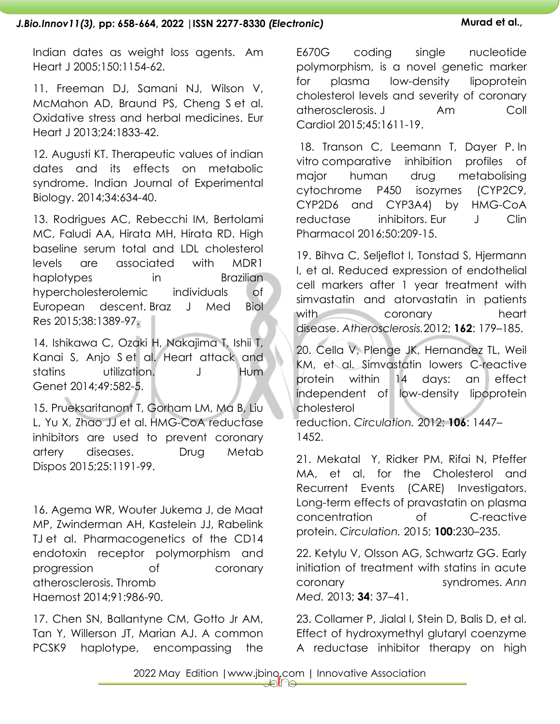#### *J.Bio.Innov11(3),* **pp: 658-664, 2022 |ISSN 2277-8330** *(Electronic)* **Murad et al.,**

Indian dates as weight loss agents. Am Heart J 2005;150:1154-62.

11. Freeman DJ, Samani NJ, Wilson V, McMahon AD, Braund PS, Cheng S et al. Oxidative stress and herbal medicines. Eur Heart J 2013;24:1833-42.

12. Augusti KT. Therapeutic values of indian dates and its effects on metabolic syndrome. Indian Journal of Experimental Biology. 2014;34:634-40.

13. Rodrigues AC, Rebecchi IM, Bertolami MC, Faludi AA, Hirata MH, Hirata RD. High baseline serum total and LDL cholesterol levels are associated with MDR1 haplotypes in Brazilian hypercholesterolemic individuals of European descent. Braz J Med Biol Res 2015;38:1389-97.

14. Ishikawa C, Ozaki H, Nakajima T, Ishii T, Kanai S, Anjo S et al. Heart attack and statins utilization. J Hum Genet 2014;49:582-5.

15. Prueksaritanont T, Gorham LM, Ma B, Liu L, Yu X, Zhao JJ et al. HMG-CoA reductase inhibitors are used to prevent coronary artery diseases. Drug Metab Dispos 2015;25:1191-99.

16. Agema WR, Wouter Jukema J, de Maat MP, Zwinderman AH, Kastelein JJ, Rabelink TJ et al. Pharmacogenetics of the CD14 endotoxin receptor polymorphism and progression of coronary atherosclerosis. Thromb Haemost 2014;91:986-90.

17. Chen SN, Ballantyne CM, Gotto Jr AM, Tan Y, Willerson JT, Marian AJ. A common PCSK9 haplotype, encompassing the

E670G coding single nucleotide polymorphism, is a novel genetic marker for plasma low-density lipoprotein cholesterol levels and severity of coronary atherosclerosis. J Am Coll Cardiol 2015;45:1611-19.

18. Transon C, Leemann T, Dayer P. In vitro comparative inhibition profiles of major human drug metabolising cytochrome P450 isozymes (CYP2C9, CYP2D6 and CYP3A4) by HMG-CoA reductase inhibitors. Eur J Clin Pharmacol 2016;50:209-15.

19. Bihva C, Seljeflot I, Tonstad S, Hjermann I, et al. Reduced expression of endothelial cell markers after 1 year treatment with simvastatin and atorvastatin in patients with coronary heart disease. *Atherosclerosis.*2012; **162**: 179–185.

20. Cella V, Plenge JK, Hernandez TL, Weil KM, et al. Simvastatin lowers C-reactive protein within 14 days: an effect independent of low-density lipoprotein cholesterol

reduction. *Circulation.* 2012; **106**: 1447– 1452.

21. Mekatal Y, Ridker PM, Rifai N, Pfeffer MA, et al, for the Cholesterol and Recurrent Events (CARE) Investigators. Long-term effects of pravastatin on plasma concentration of C-reactive protein. *Circulation.* 2015; **100**:230–235.

22. Ketylu V, Olsson AG, Schwartz GG. Early initiation of treatment with statins in acute coronary syndromes. *Ann Med.* 2013; **34**: 37–41.

23. Collamer P, Jialal I, Stein D, Balis D, et al. Effect of hydroxymethyl glutaryl coenzyme A reductase inhibitor therapy on high